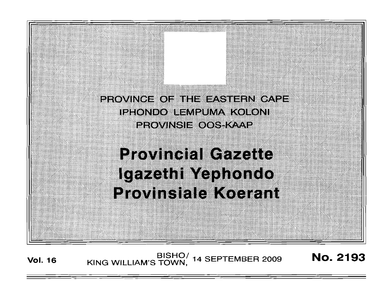PROVINGE OF THE EASTERN CAPE iehondo henek matokoni provinsi=toget&me

# **Provincial Gazette** Igazethi Yaphondo Provinsiale Koerant

**Vol. <sup>16</sup>** BISHO/ KING WILLIAM'S TOWN, <sup>14</sup> SEPTEMBER <sup>2009</sup> No. 2193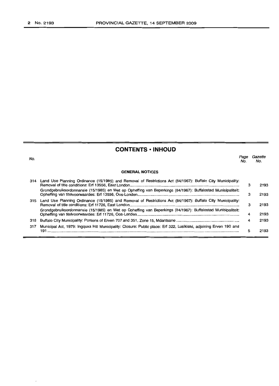$\lambda$ 

 $\overline{\phantom{a}}$ 

# **CONTENTS • INHOUD**

| No. |                                                                                                                     | Page<br>No. | Gazette<br>No. |
|-----|---------------------------------------------------------------------------------------------------------------------|-------------|----------------|
|     | <b>GENERAL NOTICES</b>                                                                                              |             |                |
| 314 | Land Use Planning Ordinance (15/1985) and Removal of Restrictions Act (84/1967): Buffalo City Municipality:         | з           | 2193           |
|     | Grondgebruiksordonnansie (15/1985) en Wet op Opheffing van Beperkings (84/1967): Buffalostad Munisipaliteit:        | 3           | 2193           |
| 315 | Land Use Planning Ordinance (15/1985) and Removal of Restrictions Act (84/1967): Buffalo City Municipality:         | 3           | 2193           |
|     | Grondgebruiksordonnansie (15/1985) en Wet op Opheffing van Beperkings (84/1967): Buffalostad Munisipaliteit:        | 4           | 2193           |
| 316 |                                                                                                                     | 4           | 2193           |
| 317 | Municipal Act, 1979: Ingquxa Hill Municipality: Closure: Public place: Erf 322, Lusikisiki, adjoining Erven 190 and | 5           | 2193           |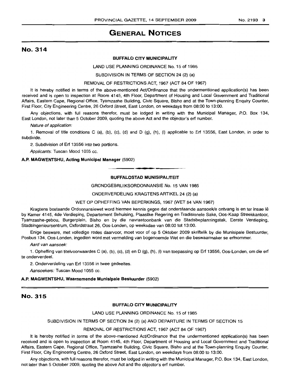# **GENERAL NOTICES**

# No. 314

#### **BUFFALO CITY MUNICIPALITY**

LAND USE PLANNING ORDINANCE No. 15 of 1985

SUBDIVISION IN TERMS OF SECTION 24 (2) (a)

#### REMOVAL OF RESTRICTIONS ACT, 1967 (ACT 84 OF 1967)

It is hereby notified in terms of the above-mentioned Act/Ordinance that the undermentioned application(s) has been received and is open to inspection at Room 4145, 4th Floor, Department of Housing and Local Government and Traditional Affairs, Eastern Cape, Regional Office, Tyamzashe Building, Civic Square, Bisho and at the Town-planning Enquiry Counter, First Floor, City Engineering Centre, 26 Oxford Street, East London, on weekdays from 08:00 to 13:00.

Any objections, with full reasons therefor, must be lodged in writing with the Municipal Manager, P.O. Box 134, East London, not later than 5 October 2009, quoting the above Act and the objector's erf number.

Nature of application:

1. Removal of title conditions C (a), (b), (c), (d) and D (g), (h), (i) applicable to Erf 13556, East London, in order to subdivide.

2. Subdivision of Erf 13556 into two portions.

Applicants: Tuscan Mood 1055 cc.

#### **A.P. MAGWENTSHU, Acting Municipal Manager** (5902)

#### **BUFFALOSTAD MUNISIPALITEIT**

**- .**

#### GRONDGEBRLlIKSORDONNANSIE No. 15 VAN 1985

ONDERVERDELING KRAGTENS ARTIKEL 24 (2) (a)

#### WET OP OPHEFFING VAN BEPERKINGS, 1967 (WET 84 VAN 1967)

Kragtens bostaande Ordonnansiewet word hiermee kennis gegee dat onderstaande aansoek/e ontvang is en ter insae Ie by Kamer 4145, 4de Verdieping, Departement Behuising, Plaaslike Regering en Tradisionele Sake, Oos-Kaap Streekkantoor, Tyamzashe-gebou, Burgerplein, Bisho en by die navraetoonbank van die Stadsbeplanningstak, Eerste Verdieping, Stadsingenieursentrum, Oxfordstraat 26, Oos-Londen, op weeksdae van 08:00 tot 13:00.

Enige besware, met volledige redes daarvoor, moet voor of op 5 Oktober 2009 skriftelik by die Munisipale Bestuurder, Posbus 134, Oos-Londen, ingedien word met vermelding van bogenoemde Wet en die beswaarmaker se erfnommer.

Aard van aansoek:

1. Opheffing van titelvoorwaardes C (a), (b), (c), (d) en D (g), (h), (i) van toepassing op Erf 13556, Oos-Londen, om die erf te onderverdeel.

2. Onderverdeling van Erf 13556 in twee gedeeltes.

Aansoekers: Tuscan Mood 1055 cc.

#### **A.P. MAGWENTSHU, Waarnemende Munisipale Bestuurder** (5902)

### No. 315

#### **BUFFALO CITY MUNICIPALITY**

LAND USE PLANNING ORDINANCE No. 15 of 1985

#### SUBDIVISION IN TERMS OF SECTION 24 (2) (a) AND DEPARTURE IN TERMS OF SECTION 15

#### REMOVAL OF RESTRICTIONS ACT, 1967 (ACT 84 OF 1967)

It is hereby notified in terms of the above-mentioned Act/Ordinance that the undermentioned application(s) has been received and is open to inspection at Room 4145, 4th Floor, Department of Housing and Local Government and Traditional Affairs, Eastern Cape, Regional Office, Tyamzashe Building, Civic Square, Bisho and at the Town-planning Enquiry Counter, First Floor, City Engineering Centre, 26 Oxford Street, East London, on weekdays from 08:00 to 13:00.

Any objections, with full reasons therefor, must be lodged in writing with the Municipal Manager, P.O. Box 134, East London, not later than 5 October 2009, quoting the above Act and the objector's erf number.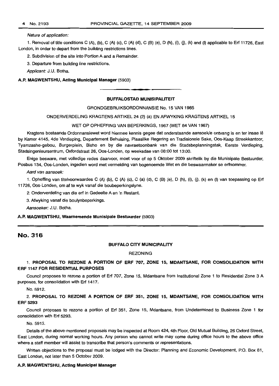#### Nature of application:

1. Removal of title conditions C (A), (b), C (A) (e), C (A) (d), C (B) (e), D (h), (i), 0), (k) and (I) applicable to Erf 11726, East London, in order to depart from the building restrictions lines.

2. Subdivision of the site into Portion A and a Remainder.

3. Departure from building line restrictions.

Applicant: J.U. Botha.

#### A.P. MAGWENTSHU, Acting Municipal Manager (5903)

# **•** BUFFALOSTAD MUNISIPALITEIT

#### GRONDGEBRUIKSORDONNANSIE No. 15 VAN 1985

ONDERVERDELING KRAGTENS ARTIKEL 24 (2) (a) EN AFWYKING KRAGTENS ARTIKEL 15

#### WET OP OPHEFFING VAN BEPERKINGS, 1967 (WET 84 VAN 1967)

Kragtens bostaande Ordonnansiewet word hiermee kennis gegee dat onderstaande aansoekle ontvang is en ter insae Ie by Kamer 4145, 4de Verdieping, Departement Behuising, Plaaslike Regering en Tradisionele Sake, Oos-Kaap Streekkantoor, Tyamzashe-gebou, Burgerplein, Bisho en by die navraetoonbank van die Stadsbeplanningstak, Eerste Verdieping, Stadsingenieursentrum, Oxfordstraat 26, Oos-Londen, op weeksdae van 08:00 tot 13:00.

Enige besware, met volledige redes daarvoor, moet voor of op 5 Oktober 2009 skriftelik by die Munisipale Bestuurder, Posbus 134, Oos-Londen, ingedien word met vermelding van bogenoemde Wet en die beswaarmaker se erfnommer.

Aard van aansoek:

1. Opheffing van titelvoorwaardes C (A) (b), C (A) (c), C (a) (d), C (B) (e), D (h), (i), (j), (k) en (I) van toepassing op Erf 11726, Oos-Londen, om af te wyk vanaf die boubeperkingslyne.

2. Onderverdeling van die erf in Gedeelte A en 'n Restant.

3. Afwyking vanaf die boulynbeperkings.

Aansoeker: J.U. Botha.

#### A.P. MAGWENTSHU, Waarnemende Munisipale Bestuurder (5903)

# No. 316

#### BUFFALO CITY MUNICIPALITY

#### **REZONING**

#### 1. PROPOSAL TO REZONE A PORTION OF ERF 707, ZONE 15, MDANTSANE, FOR CONSOLIDATION WITH ERF 1147 FOR RESIDENTIAL PURPOSES

Council proposes to rezone a portion of Erf 707, Zone 15, Mdantsane from Institutional Zone 1 to Residential Zone 3 A purposes, for consolidation with Erf 1417.

No. 5912.

2. PROPOSAL TO REZONE A PORTION OF ERF 351, ZONE 15, MDANTSANE, FOR CONSOLIDATION WITH ERF 5293

Council proposes to rezone a portion of Erf 351, Zone 15, Mdantsane, from Undetermined to Business Zone 1 for consolidation with Erf 5293.

No. 5913.

Details of the above-mentioned proposals may be inspected at Room 424, 4th Floor, Old Mutual Building, 26 Oxford Street, East London, during normal working hours. Any person who cannot write may come during office hours to the above office where a staff member will assist to transcribe that person's comments or representations.

Written objections to the proposal must be lodged with the Director: Planning and Economic Development, P.O. Box 81, East London, not later than 5 October 2009.

#### A.P. MAGWENTSHU, Acting Municipal Manager